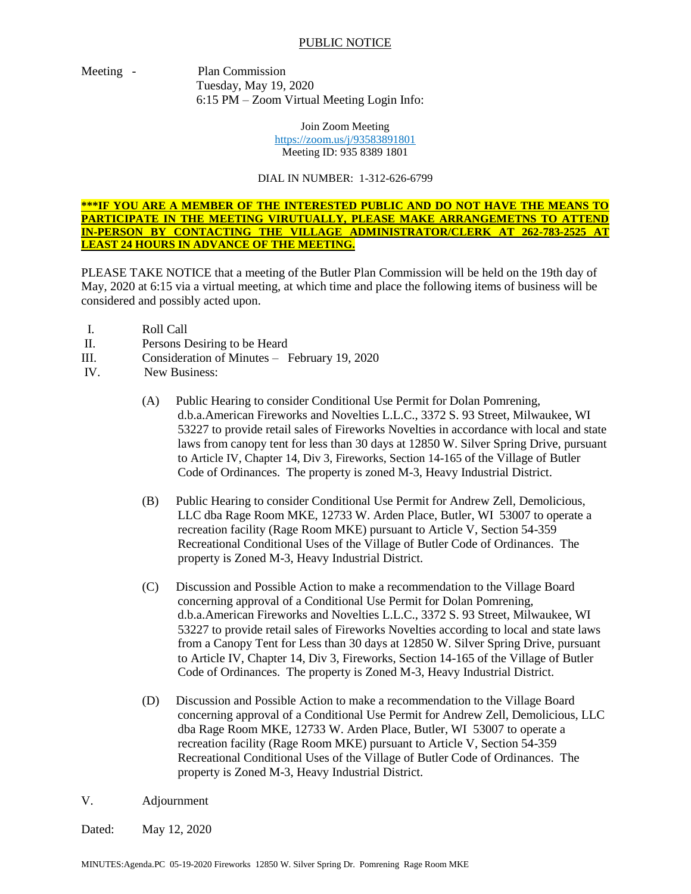## PUBLIC NOTICE

Meeting - Plan Commission Tuesday, May 19, 2020

6:15 PM – Zoom Virtual Meeting Login Info:

Join Zoom Meeting <https://zoom.us/j/93583891801> Meeting ID: 935 8389 1801

## DIAL IN NUMBER: 1-312-626-6799

**\*\*\*IF YOU ARE A MEMBER OF THE INTERESTED PUBLIC AND DO NOT HAVE THE MEANS TO PARTICIPATE IN THE MEETING VIRUTUALLY, PLEASE MAKE ARRANGEMETNS TO ATTEND IN-PERSON BY CONTACTING THE VILLAGE ADMINISTRATOR/CLERK AT 262-783-2525 AT LEAST 24 HOURS IN ADVANCE OF THE MEETING.**

PLEASE TAKE NOTICE that a meeting of the Butler Plan Commission will be held on the 19th day of May, 2020 at 6:15 via a virtual meeting, at which time and place the following items of business will be considered and possibly acted upon.

- I. Roll Call
- II. Persons Desiring to be Heard
- III. Consideration of Minutes February 19, 2020
- IV. New Business:
	- (A) Public Hearing to consider Conditional Use Permit for Dolan Pomrening, d.b.a.American Fireworks and Novelties L.L.C., 3372 S. 93 Street, Milwaukee, WI 53227 to provide retail sales of Fireworks Novelties in accordance with local and state laws from canopy tent for less than 30 days at 12850 W. Silver Spring Drive, pursuant to Article IV, Chapter 14, Div 3, Fireworks, Section 14-165 of the Village of Butler Code of Ordinances. The property is zoned M-3, Heavy Industrial District.
	- (B) Public Hearing to consider Conditional Use Permit for Andrew Zell, Demolicious, LLC dba Rage Room MKE, 12733 W. Arden Place, Butler, WI 53007 to operate a recreation facility (Rage Room MKE) pursuant to Article V, Section 54-359 Recreational Conditional Uses of the Village of Butler Code of Ordinances. The property is Zoned M-3, Heavy Industrial District.
	- (C) Discussion and Possible Action to make a recommendation to the Village Board concerning approval of a Conditional Use Permit for Dolan Pomrening, d.b.a.American Fireworks and Novelties L.L.C., 3372 S. 93 Street, Milwaukee, WI 53227 to provide retail sales of Fireworks Novelties according to local and state laws from a Canopy Tent for Less than 30 days at 12850 W. Silver Spring Drive, pursuant to Article IV, Chapter 14, Div 3, Fireworks, Section 14-165 of the Village of Butler Code of Ordinances. The property is Zoned M-3, Heavy Industrial District.
	- (D) Discussion and Possible Action to make a recommendation to the Village Board concerning approval of a Conditional Use Permit for Andrew Zell, Demolicious, LLC dba Rage Room MKE, 12733 W. Arden Place, Butler, WI 53007 to operate a recreation facility (Rage Room MKE) pursuant to Article V, Section 54-359 Recreational Conditional Uses of the Village of Butler Code of Ordinances. The property is Zoned M-3, Heavy Industrial District.
- V. Adjournment

Dated: May 12, 2020